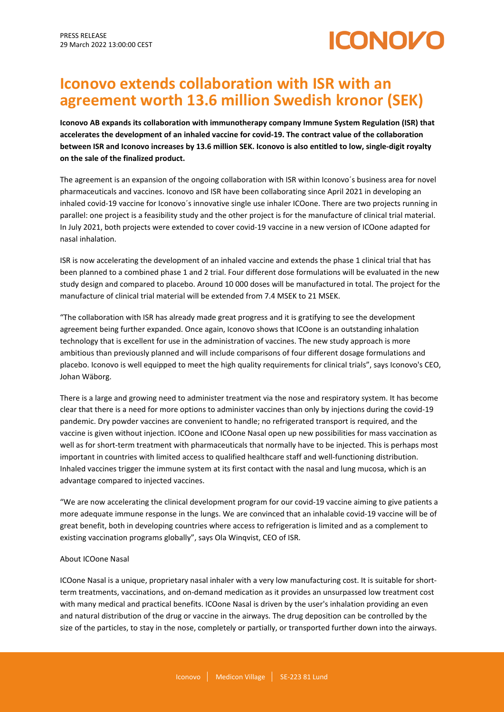# **ICONOVO**

# **Iconovo extends collaboration with ISR with an agreement worth 13.6 million Swedish kronor (SEK)**

**Iconovo AB expands its collaboration with immunotherapy company Immune System Regulation (ISR) that accelerates the development of an inhaled vaccine for covid-19. The contract value of the collaboration between ISR and Iconovo increases by 13.6 million SEK. Iconovo is also entitled to low, single-digit royalty on the sale of the finalized product.**

The agreement is an expansion of the ongoing collaboration with ISR within Iconovo´s business area for novel pharmaceuticals and vaccines. Iconovo and ISR have been collaborating since April 2021 in developing an inhaled covid-19 vaccine for Iconovo´s innovative single use inhaler ICOone. There are two projects running in parallel: one project is a feasibility study and the other project is for the manufacture of clinical trial material. In July 2021, both projects were extended to cover covid-19 vaccine in a new version of ICOone adapted for nasal inhalation.

ISR is now accelerating the development of an inhaled vaccine and extends the phase 1 clinical trial that has been planned to a combined phase 1 and 2 trial. Four different dose formulations will be evaluated in the new study design and compared to placebo. Around 10 000 doses will be manufactured in total. The project for the manufacture of clinical trial material will be extended from 7.4 MSEK to 21 MSEK.

"The collaboration with ISR has already made great progress and it is gratifying to see the development agreement being further expanded. Once again, Iconovo shows that ICOone is an outstanding inhalation technology that is excellent for use in the administration of vaccines. The new study approach is more ambitious than previously planned and will include comparisons of four different dosage formulations and placebo. Iconovo is well equipped to meet the high quality requirements for clinical trials", says Iconovo's CEO, Johan Wäborg.

There is a large and growing need to administer treatment via the nose and respiratory system. It has become clear that there is a need for more options to administer vaccines than only by injections during the covid-19 pandemic. Dry powder vaccines are convenient to handle; no refrigerated transport is required, and the vaccine is given without injection. ICOone and ICOone Nasal open up new possibilities for mass vaccination as well as for short-term treatment with pharmaceuticals that normally have to be injected. This is perhaps most important in countries with limited access to qualified healthcare staff and well-functioning distribution. Inhaled vaccines trigger the immune system at its first contact with the nasal and lung mucosa, which is an advantage compared to injected vaccines.

"We are now accelerating the clinical development program for our covid-19 vaccine aiming to give patients a more adequate immune response in the lungs. We are convinced that an inhalable covid-19 vaccine will be of great benefit, both in developing countries where access to refrigeration is limited and as a complement to existing vaccination programs globally", says Ola Winqvist, CEO of ISR.

### About ICOone Nasal

ICOone Nasal is a unique, proprietary nasal inhaler with a very low manufacturing cost. It is suitable for shortterm treatments, vaccinations, and on-demand medication as it provides an unsurpassed low treatment cost with many medical and practical benefits. ICOone Nasal is driven by the user's inhalation providing an even and natural distribution of the drug or vaccine in the airways. The drug deposition can be controlled by the size of the particles, to stay in the nose, completely or partially, or transported further down into the airways.